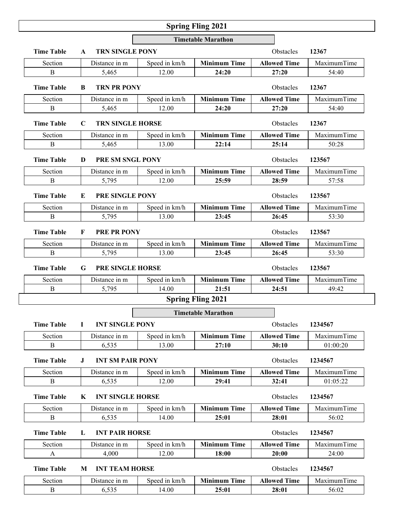## **Spring Fling 2021**

|                   |                                        |                         | <b>Timetable Marathon</b> |                     |             |
|-------------------|----------------------------------------|-------------------------|---------------------------|---------------------|-------------|
| <b>Time Table</b> | <b>TRN SINGLE PONY</b><br>$\mathbf{A}$ |                         |                           | Obstacles           | 12367       |
| Section           | Distance in m                          | Speed in km/h           | <b>Minimum Time</b>       | <b>Allowed Time</b> | MaximumTime |
| B                 | 5,465                                  | 12.00                   | 24:20                     | 27:20               | 54:40       |
| <b>Time Table</b> | <b>TRN PR PONY</b><br>B                |                         |                           | Obstacles           | 12367       |
| Section           | Distance in m                          | Speed in km/h           | <b>Minimum Time</b>       | <b>Allowed Time</b> | MaximumTime |
| $\mathbf{B}$      | 5,465                                  | 12.00                   | 24:20                     | 27:20               | 54:40       |
| <b>Time Table</b> | C                                      | <b>TRN SINGLE HORSE</b> |                           |                     | 12367       |
| Section           | Distance in m                          | Speed in km/h           | <b>Minimum Time</b>       | <b>Allowed Time</b> | MaximumTime |
| $\bf{B}$          | 5,465                                  | 13.00                   | 22:14                     | 25:14               | 50:28       |
| <b>Time Table</b> | D                                      | PRE SM SNGL PONY        |                           |                     | 123567      |
| Section           | Distance in m                          | Speed in km/h           | <b>Minimum Time</b>       | <b>Allowed Time</b> | MaximumTime |
| $\bf{B}$          | 5,795                                  | 12.00                   | 25:59                     | 28:59               | 57:58       |
| <b>Time Table</b> | <b>PRE SINGLE PONY</b><br>E            |                         |                           | Obstacles           | 123567      |
| Section           | Distance in m                          | Speed in km/h           | <b>Minimum Time</b>       | <b>Allowed Time</b> | MaximumTime |
| $\bf{B}$          | 5,795                                  | 13.00                   | 23:45                     | 26:45               | 53:30       |
| <b>Time Table</b> | <b>PRE PR PONY</b><br>F                |                         | Obstacles                 | 123567              |             |
| Section           | Distance in m                          | Speed in km/h           | <b>Minimum Time</b>       | <b>Allowed Time</b> | MaximumTime |
| $\bf{B}$          | 5,795                                  | 13.00                   | 23:45                     | 26:45               | 53:30       |
| <b>Time Table</b> | <b>PRE SINGLE HORSE</b><br>G           |                         |                           | Obstacles           | 123567      |
| Section           | Distance in m                          | Speed in km/h           | <b>Minimum Time</b>       | <b>Allowed Time</b> | MaximumTime |
| $\, {\bf B}$      | 5,795                                  | 14.00                   | 21:51                     | 24:51               | 49:42       |
|                   |                                        |                         | <b>Spring Fling 2021</b>  |                     |             |
|                   |                                        |                         | <b>Timetable Marathon</b> |                     |             |
| <b>Time Table</b> | <b>INT SINGLE PONY</b><br>L            |                         |                           | Obstacles           | 1234567     |
| Section           | Distance in m                          | Speed in km/h           | <b>Minimum Time</b>       | <b>Allowed Time</b> | MaximumTime |
| $\bf{B}$          | 6,535                                  | 13.00                   | 27:10                     | 30:10               | 01:00:20    |
| <b>Time Table</b> | <b>INT SM PAIR PONY</b><br>J.          |                         |                           | Obstacles           | 1234567     |
| Section           | Distance in m                          | Speed in km/h           | <b>Minimum Time</b>       | <b>Allowed Time</b> | MaximumTime |
| B                 | 6,535                                  | 12.00                   | 29:41                     | 32:41               | 01:05:22    |
| <b>Time Table</b> | <b>INT SINGLE HORSE</b><br>K           |                         |                           | Obstacles           | 1234567     |
| Section           | Distance in m                          | Speed in km/h           | <b>Minimum Time</b>       | <b>Allowed Time</b> | MaximumTime |
| $\bf{B}$          | 6,535                                  | 14.00                   | 25:01                     | 28:01               | 56:02       |
| <b>Time Table</b> | L<br><b>INT PAIR HORSE</b>             |                         |                           | Obstacles           | 1234567     |
| Section           | Distance in m                          | Speed in km/h           | <b>Minimum Time</b>       | <b>Allowed Time</b> | MaximumTime |
| A                 | 4,000                                  | 12.00                   | 18:00                     | 20:00               | 24:00       |
| <b>Time Table</b> | <b>INT TEAM HORSE</b><br>M             |                         |                           | Obstacles           | 1234567     |
| Section           | Distance in m                          | Speed in km/h           | <b>Minimum Time</b>       | <b>Allowed Time</b> | MaximumTime |

B 6,535 14.00 **25:01 28:01** 56:02